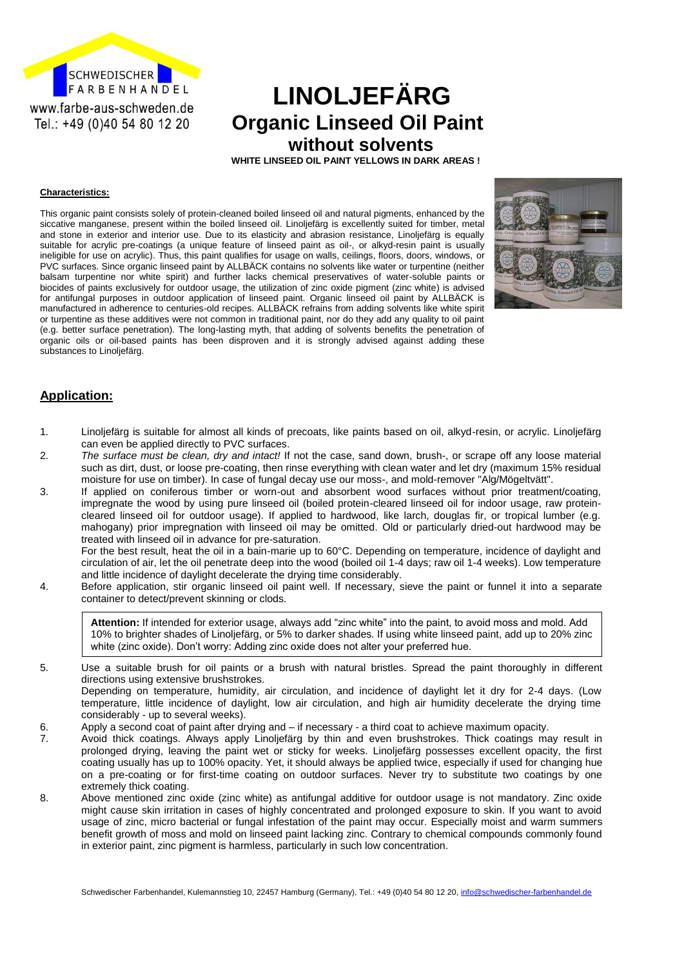

# **LINOLJEFÄRG Organic Linseed Oil Paint without solvents**

 **WHITE LINSEED OIL PAINT YELLOWS IN DARK AREAS !**

#### **Characteristics:**

This organic paint consists solely of protein-cleaned boiled linseed oil and natural pigments, enhanced by the siccative manganese, present within the boiled linseed oil. Linoljefärg is excellently suited for timber, metal and stone in exterior and interior use. Due to its elasticity and abrasion resistance, Linoljefärg is equally suitable for acrylic pre-coatings (a unique feature of linseed paint as oil-, or alkyd-resin paint is usually ineligible for use on acrylic). Thus, this paint qualifies for usage on walls, ceilings, floors, doors, windows, or PVC surfaces. Since organic linseed paint by ALLBÄCK contains no solvents like water or turpentine (neither balsam turpentine nor white spirit) and further lacks chemical preservatives of water-soluble paints or biocides of paints exclusively for outdoor usage, the utilization of zinc oxide pigment (zinc white) is advised for antifungal purposes in outdoor application of linseed paint. Organic linseed oil paint by ALLBÄCK is manufactured in adherence to centuries-old recipes. ALLBÄCK refrains from adding solvents like white spirit or turpentine as these additives were not common in traditional paint, nor do they add any quality to oil paint (e.g. better surface penetration). The long-lasting myth, that adding of solvents benefits the penetration of organic oils or oil-based paints has been disproven and it is strongly advised against adding these substances to Linoliefärg.



### **Application:**

- 1. Linoljefärg is suitable for almost all kinds of precoats, like paints based on oil, alkyd-resin, or acrylic. Linoljefärg can even be applied directly to PVC surfaces.
- 2. *The surface must be clean, dry and intact!* If not the case, sand down, brush-, or scrape off any loose material such as dirt, dust, or loose pre-coating, then rinse everything with clean water and let dry (maximum 15% residual moisture for use on timber). In case of fungal decay use our moss-, and mold-remover "Alg/Mögeltvätt".
- 3. If applied on coniferous timber or worn-out and absorbent wood surfaces without prior treatment/coating, impregnate the wood by using pure linseed oil (boiled protein-cleared linseed oil for indoor usage, raw proteincleared linseed oil for outdoor usage). If applied to hardwood, like larch, douglas fir, or tropical lumber (e.g. mahogany) prior impregnation with linseed oil may be omitted. Old or particularly dried-out hardwood may be treated with linseed oil in advance for pre-saturation.

For the best result, heat the oil in a bain-marie up to 60°C. Depending on temperature, incidence of daylight and circulation of air, let the oil penetrate deep into the wood (boiled oil 1-4 days; raw oil 1-4 weeks). Low temperature and little incidence of daylight decelerate the drying time considerably.

4. Before application, stir organic linseed oil paint well. If necessary, sieve the paint or funnel it into a separate container to detect/prevent skinning or clods.

**Attention:** If intended for exterior usage, always add "zinc white" into the paint, to avoid moss and mold. Add 10% to brighter shades of Linoljefärg, or 5% to darker shades. If using white linseed paint, add up to 20% zinc white (zinc oxide). Don't worry: Adding zinc oxide does not alter your preferred hue.

- 5. Use a suitable brush for oil paints or a brush with natural bristles. Spread the paint thoroughly in different directions using extensive brushstrokes. Depending on temperature, humidity, air circulation, and incidence of daylight let it dry for 2-4 days. (Low temperature, little incidence of daylight, low air circulation, and high air humidity decelerate the drying time considerably - up to several weeks).
- 6. Apply a second coat of paint after drying and if necessary a third coat to achieve maximum opacity.
- 7. Avoid thick coatings. Always apply Linoljefärg by thin and even brushstrokes. Thick coatings may result in prolonged drying, leaving the paint wet or sticky for weeks. Linoljefärg possesses excellent opacity, the first coating usually has up to 100% opacity. Yet, it should always be applied twice, especially if used for changing hue on a pre-coating or for first-time coating on outdoor surfaces. Never try to substitute two coatings by one extremely thick coating.
- 8. Above mentioned zinc oxide (zinc white) as antifungal additive for outdoor usage is not mandatory. Zinc oxide might cause skin irritation in cases of highly concentrated and prolonged exposure to skin. If you want to avoid usage of zinc, micro bacterial or fungal infestation of the paint may occur. Especially moist and warm summers benefit growth of moss and mold on linseed paint lacking zinc. Contrary to chemical compounds commonly found in exterior paint, zinc pigment is harmless, particularly in such low concentration.